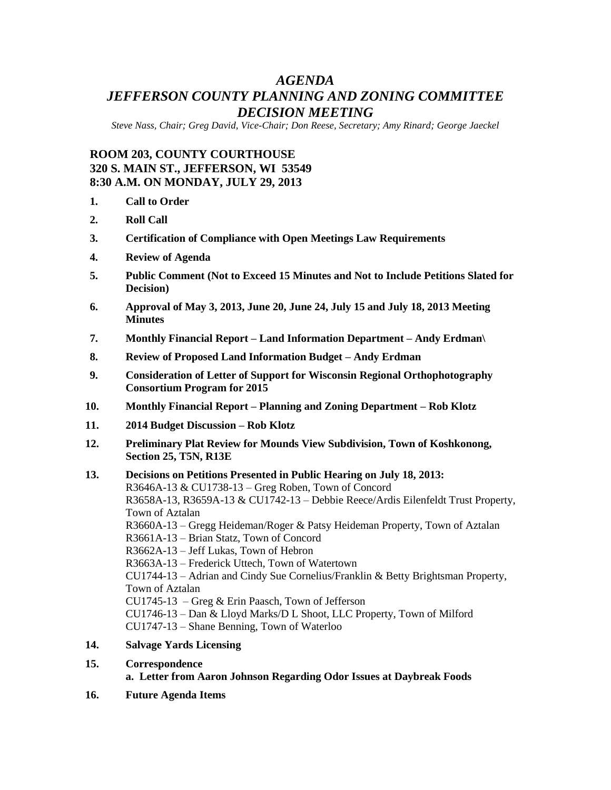# *AGENDA JEFFERSON COUNTY PLANNING AND ZONING COMMITTEE DECISION MEETING*

*Steve Nass, Chair; Greg David, Vice-Chair; Don Reese, Secretary; Amy Rinard; George Jaeckel*

# **ROOM 203, COUNTY COURTHOUSE 320 S. MAIN ST., JEFFERSON, WI 53549 8:30 A.M. ON MONDAY, JULY 29, 2013**

- **1. Call to Order**
- **2. Roll Call**
- **3. Certification of Compliance with Open Meetings Law Requirements**
- **4. Review of Agenda**
- **5. Public Comment (Not to Exceed 15 Minutes and Not to Include Petitions Slated for Decision)**
- **6. Approval of May 3, 2013, June 20, June 24, July 15 and July 18, 2013 Meeting Minutes**
- **7. Monthly Financial Report – Land Information Department – Andy Erdman\**
- **8. Review of Proposed Land Information Budget – Andy Erdman**
- **9. Consideration of Letter of Support for Wisconsin Regional Orthophotography Consortium Program for 2015**
- **10. Monthly Financial Report – Planning and Zoning Department – Rob Klotz**
- **11. 2014 Budget Discussion – Rob Klotz**
- **12. Preliminary Plat Review for Mounds View Subdivision, Town of Koshkonong, Section 25, T5N, R13E**
- **13. Decisions on Petitions Presented in Public Hearing on July 18, 2013:** R3646A-13 & CU1738-13 – Greg Roben, Town of Concord R3658A-13, R3659A-13 & CU1742-13 – Debbie Reece/Ardis Eilenfeldt Trust Property, Town of Aztalan R3660A-13 – Gregg Heideman/Roger & Patsy Heideman Property, Town of Aztalan R3661A-13 – Brian Statz, Town of Concord R3662A-13 – Jeff Lukas, Town of Hebron R3663A-13 – Frederick Uttech, Town of Watertown CU1744-13 – Adrian and Cindy Sue Cornelius/Franklin & Betty Brightsman Property, Town of Aztalan CU1745-13 – Greg & Erin Paasch, Town of Jefferson CU1746-13 – Dan & Lloyd Marks/D L Shoot, LLC Property, Town of Milford CU1747-13 – Shane Benning, Town of Waterloo
- **14. Salvage Yards Licensing**
- **15. Correspondence**

**a. Letter from Aaron Johnson Regarding Odor Issues at Daybreak Foods**

**16. Future Agenda Items**